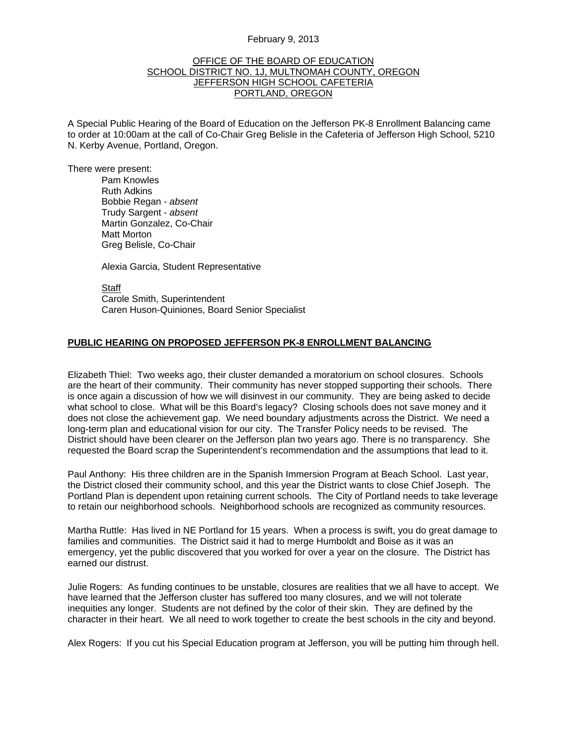## February 9, 2013

## OFFICE OF THE BOARD OF EDUCATION SCHOOL DISTRICT NO. 1J, MULTNOMAH COUNTY, OREGON **JEFFERSON HIGH SCHOOL CAFETERIA** PORTLAND, OREGON

A Special Public Hearing of the Board of Education on the Jefferson PK-8 Enrollment Balancing came to order at 10:00am at the call of Co-Chair Greg Belisle in the Cafeteria of Jefferson High School, 5210 N. Kerby Avenue, Portland, Oregon.

There were present: Pam Knowles

Ruth Adkins Bobbie Regan - *absent* Trudy Sargent - *absent* Martin Gonzalez, Co-Chair Matt Morton Greg Belisle, Co-Chair

Alexia Garcia, Student Representative

**Staff**  Carole Smith, Superintendent Caren Huson-Quiniones, Board Senior Specialist

## **PUBLIC HEARING ON PROPOSED JEFFERSON PK-8 ENROLLMENT BALANCING**

Elizabeth Thiel: Two weeks ago, their cluster demanded a moratorium on school closures. Schools are the heart of their community. Their community has never stopped supporting their schools. There is once again a discussion of how we will disinvest in our community. They are being asked to decide what school to close. What will be this Board's legacy? Closing schools does not save money and it does not close the achievement gap. We need boundary adjustments across the District. We need a long-term plan and educational vision for our city. The Transfer Policy needs to be revised. The District should have been clearer on the Jefferson plan two years ago. There is no transparency. She requested the Board scrap the Superintendent's recommendation and the assumptions that lead to it.

Paul Anthony: His three children are in the Spanish Immersion Program at Beach School. Last year, the District closed their community school, and this year the District wants to close Chief Joseph. The Portland Plan is dependent upon retaining current schools. The City of Portland needs to take leverage to retain our neighborhood schools. Neighborhood schools are recognized as community resources.

Martha Ruttle: Has lived in NE Portland for 15 years. When a process is swift, you do great damage to families and communities. The District said it had to merge Humboldt and Boise as it was an emergency, yet the public discovered that you worked for over a year on the closure. The District has earned our distrust.

Julie Rogers: As funding continues to be unstable, closures are realities that we all have to accept. We have learned that the Jefferson cluster has suffered too many closures, and we will not tolerate inequities any longer. Students are not defined by the color of their skin. They are defined by the character in their heart. We all need to work together to create the best schools in the city and beyond.

Alex Rogers: If you cut his Special Education program at Jefferson, you will be putting him through hell.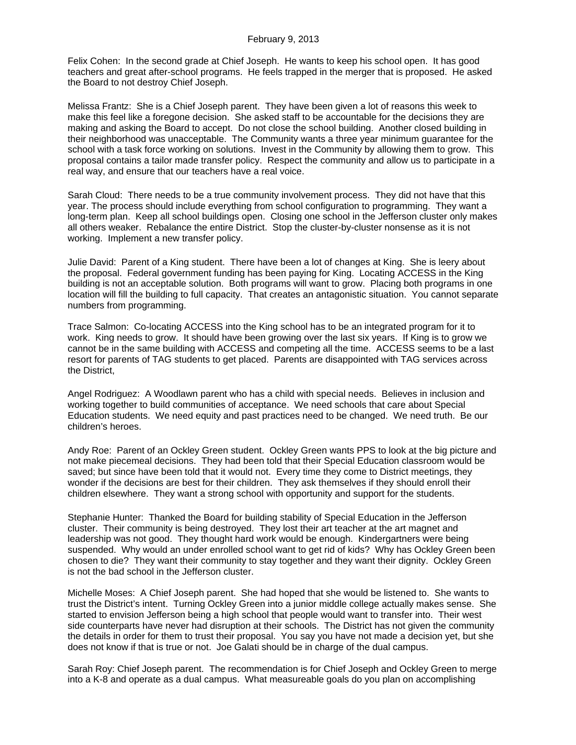Felix Cohen: In the second grade at Chief Joseph. He wants to keep his school open. It has good teachers and great after-school programs. He feels trapped in the merger that is proposed. He asked the Board to not destroy Chief Joseph.

Melissa Frantz: She is a Chief Joseph parent. They have been given a lot of reasons this week to make this feel like a foregone decision. She asked staff to be accountable for the decisions they are making and asking the Board to accept. Do not close the school building. Another closed building in their neighborhood was unacceptable. The Community wants a three year minimum guarantee for the school with a task force working on solutions. Invest in the Community by allowing them to grow. This proposal contains a tailor made transfer policy. Respect the community and allow us to participate in a real way, and ensure that our teachers have a real voice.

Sarah Cloud: There needs to be a true community involvement process. They did not have that this year. The process should include everything from school configuration to programming. They want a long-term plan. Keep all school buildings open. Closing one school in the Jefferson cluster only makes all others weaker. Rebalance the entire District. Stop the cluster-by-cluster nonsense as it is not working. Implement a new transfer policy.

Julie David: Parent of a King student. There have been a lot of changes at King. She is leery about the proposal. Federal government funding has been paying for King. Locating ACCESS in the King building is not an acceptable solution. Both programs will want to grow. Placing both programs in one location will fill the building to full capacity. That creates an antagonistic situation. You cannot separate numbers from programming.

Trace Salmon: Co-locating ACCESS into the King school has to be an integrated program for it to work. King needs to grow. It should have been growing over the last six years. If King is to grow we cannot be in the same building with ACCESS and competing all the time. ACCESS seems to be a last resort for parents of TAG students to get placed. Parents are disappointed with TAG services across the District,

Angel Rodriguez: A Woodlawn parent who has a child with special needs. Believes in inclusion and working together to build communities of acceptance. We need schools that care about Special Education students. We need equity and past practices need to be changed. We need truth. Be our children's heroes.

Andy Roe: Parent of an Ockley Green student. Ockley Green wants PPS to look at the big picture and not make piecemeal decisions. They had been told that their Special Education classroom would be saved; but since have been told that it would not. Every time they come to District meetings, they wonder if the decisions are best for their children. They ask themselves if they should enroll their children elsewhere. They want a strong school with opportunity and support for the students.

Stephanie Hunter: Thanked the Board for building stability of Special Education in the Jefferson cluster. Their community is being destroyed. They lost their art teacher at the art magnet and leadership was not good. They thought hard work would be enough. Kindergartners were being suspended. Why would an under enrolled school want to get rid of kids? Why has Ockley Green been chosen to die? They want their community to stay together and they want their dignity. Ockley Green is not the bad school in the Jefferson cluster.

Michelle Moses: A Chief Joseph parent. She had hoped that she would be listened to. She wants to trust the District's intent. Turning Ockley Green into a junior middle college actually makes sense. She started to envision Jefferson being a high school that people would want to transfer into. Their west side counterparts have never had disruption at their schools. The District has not given the community the details in order for them to trust their proposal. You say you have not made a decision yet, but she does not know if that is true or not. Joe Galati should be in charge of the dual campus.

Sarah Roy: Chief Joseph parent. The recommendation is for Chief Joseph and Ockley Green to merge into a K-8 and operate as a dual campus. What measureable goals do you plan on accomplishing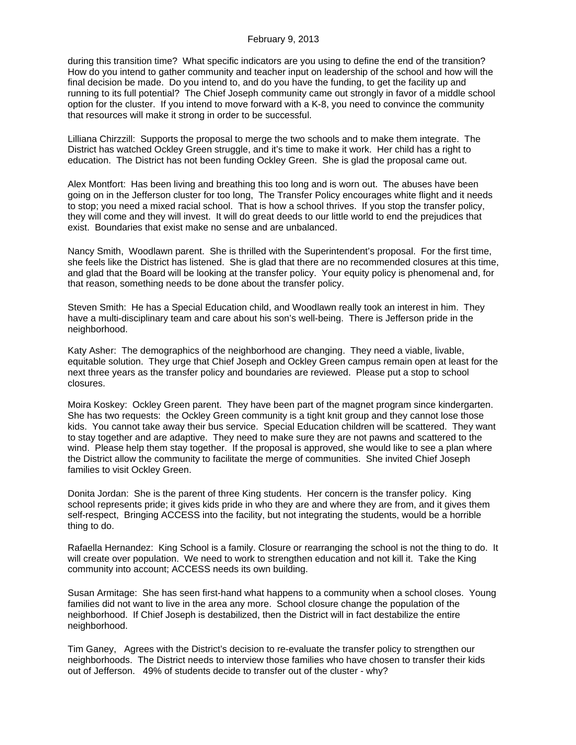during this transition time? What specific indicators are you using to define the end of the transition? How do you intend to gather community and teacher input on leadership of the school and how will the final decision be made. Do you intend to, and do you have the funding, to get the facility up and running to its full potential? The Chief Joseph community came out strongly in favor of a middle school option for the cluster. If you intend to move forward with a K-8, you need to convince the community that resources will make it strong in order to be successful.

Lilliana Chirzzill: Supports the proposal to merge the two schools and to make them integrate. The District has watched Ockley Green struggle, and it's time to make it work. Her child has a right to education. The District has not been funding Ockley Green. She is glad the proposal came out.

Alex Montfort: Has been living and breathing this too long and is worn out. The abuses have been going on in the Jefferson cluster for too long, The Transfer Policy encourages white flight and it needs to stop; you need a mixed racial school. That is how a school thrives. If you stop the transfer policy, they will come and they will invest. It will do great deeds to our little world to end the prejudices that exist. Boundaries that exist make no sense and are unbalanced.

Nancy Smith, Woodlawn parent. She is thrilled with the Superintendent's proposal. For the first time, she feels like the District has listened. She is glad that there are no recommended closures at this time, and glad that the Board will be looking at the transfer policy. Your equity policy is phenomenal and, for that reason, something needs to be done about the transfer policy.

Steven Smith: He has a Special Education child, and Woodlawn really took an interest in him. They have a multi-disciplinary team and care about his son's well-being. There is Jefferson pride in the neighborhood.

Katy Asher: The demographics of the neighborhood are changing. They need a viable, livable, equitable solution. They urge that Chief Joseph and Ockley Green campus remain open at least for the next three years as the transfer policy and boundaries are reviewed. Please put a stop to school closures.

Moira Koskey: Ockley Green parent. They have been part of the magnet program since kindergarten. She has two requests: the Ockley Green community is a tight knit group and they cannot lose those kids. You cannot take away their bus service. Special Education children will be scattered. They want to stay together and are adaptive. They need to make sure they are not pawns and scattered to the wind. Please help them stay together. If the proposal is approved, she would like to see a plan where the District allow the community to facilitate the merge of communities. She invited Chief Joseph families to visit Ockley Green.

Donita Jordan: She is the parent of three King students. Her concern is the transfer policy. King school represents pride; it gives kids pride in who they are and where they are from, and it gives them self-respect, Bringing ACCESS into the facility, but not integrating the students, would be a horrible thing to do.

Rafaella Hernandez: King School is a family. Closure or rearranging the school is not the thing to do. It will create over population. We need to work to strengthen education and not kill it. Take the King community into account; ACCESS needs its own building.

Susan Armitage: She has seen first-hand what happens to a community when a school closes. Young families did not want to live in the area any more. School closure change the population of the neighborhood. If Chief Joseph is destabilized, then the District will in fact destabilize the entire neighborhood.

Tim Ganey, Agrees with the District's decision to re-evaluate the transfer policy to strengthen our neighborhoods. The District needs to interview those families who have chosen to transfer their kids out of Jefferson. 49% of students decide to transfer out of the cluster - why?